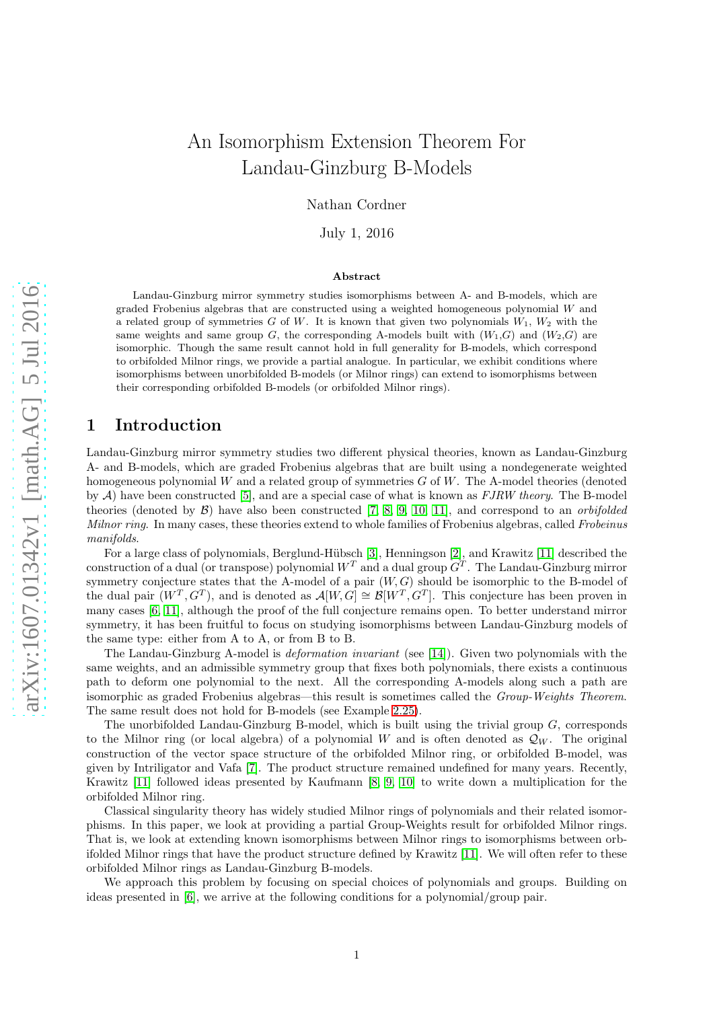# An Isomorphism Extension Theorem For Landau-Ginzburg B-Models

Nathan Cordner

July 1, 2016

#### Abstract

Landau-Ginzburg mirror symmetry studies isomorphisms between A- and B-models, which are graded Frobenius algebras that are constructed using a weighted homogeneous polynomial W and a related group of symmetries G of W. It is known that given two polynomials  $W_1$ ,  $W_2$  with the same weights and same group G, the corresponding A-models built with  $(W_1,G)$  and  $(W_2,G)$  are isomorphic. Though the same result cannot hold in full generality for B-models, which correspond to orbifolded Milnor rings, we provide a partial analogue. In particular, we exhibit conditions where isomorphisms between unorbifolded B-models (or Milnor rings) can extend to isomorphisms between their corresponding orbifolded B-models (or orbifolded Milnor rings).

## 1 Introduction

Landau-Ginzburg mirror symmetry studies two different physical theories, known as Landau-Ginzburg A- and B-models, which are graded Frobenius algebras that are built using a nondegenerate weighted homogeneous polynomial W and a related group of symmetries  $G$  of W. The A-model theories (denoted by A) have been constructed [\[5\]](#page-9-0), and are a special case of what is known as *FJRW theory*. The B-model theories (denoted by B) have also been constructed [\[7,](#page-9-1) [8,](#page-9-2) [9,](#page-9-3) [10,](#page-9-4) [11\]](#page-9-5), and correspond to an *orbifolded Milnor ring*. In many cases, these theories extend to whole families of Frobenius algebras, called *Frobeinus manifolds*.

For a large class of polynomials, Berglund-Hübsch [\[3\]](#page-9-6), Henningson [\[2\]](#page-9-7), and Krawitz [\[11\]](#page-9-5) described the construction of a dual (or transpose) polynomial  $W^T$  and a dual group  $G^T$ . The Landau-Ginzburg mirror symmetry conjecture states that the A-model of a pair  $(W, G)$  should be isomorphic to the B-model of the dual pair  $(W^T, G^T)$ , and is denoted as  $\mathcal{A}[W, G] \cong \mathcal{B}[W^T, G^T]$ . This conjecture has been proven in many cases [\[6,](#page-9-8) [11\]](#page-9-5), although the proof of the full conjecture remains open. To better understand mirror symmetry, it has been fruitful to focus on studying isomorphisms between Landau-Ginzburg models of the same type: either from A to A, or from B to B.

The Landau-Ginzburg A-model is *deformation invariant* (see [\[14\]](#page-9-9)). Given two polynomials with the same weights, and an admissible symmetry group that fixes both polynomials, there exists a continuous path to deform one polynomial to the next. All the corresponding A-models along such a path are isomorphic as graded Frobenius algebras—this result is sometimes called the *Group-Weights Theorem*. The same result does not hold for B-models (see Example [2.25\)](#page-4-0).

The unorbifolded Landau-Ginzburg B-model, which is built using the trivial group G, corresponds to the Milnor ring (or local algebra) of a polynomial W and is often denoted as  $\mathcal{Q}_W$ . The original construction of the vector space structure of the orbifolded Milnor ring, or orbifolded B-model, was given by Intriligator and Vafa [\[7\]](#page-9-1). The product structure remained undefined for many years. Recently, Krawitz [\[11\]](#page-9-5) followed ideas presented by Kaufmann [\[8,](#page-9-2) [9,](#page-9-3) [10\]](#page-9-4) to write down a multiplication for the orbifolded Milnor ring.

Classical singularity theory has widely studied Milnor rings of polynomials and their related isomorphisms. In this paper, we look at providing a partial Group-Weights result for orbifolded Milnor rings. That is, we look at extending known isomorphisms between Milnor rings to isomorphisms between orbifolded Milnor rings that have the product structure defined by Krawitz [\[11\]](#page-9-5). We will often refer to these orbifolded Milnor rings as Landau-Ginzburg B-models.

We approach this problem by focusing on special choices of polynomials and groups. Building on ideas presented in [\[6\]](#page-9-8), we arrive at the following conditions for a polynomial/group pair.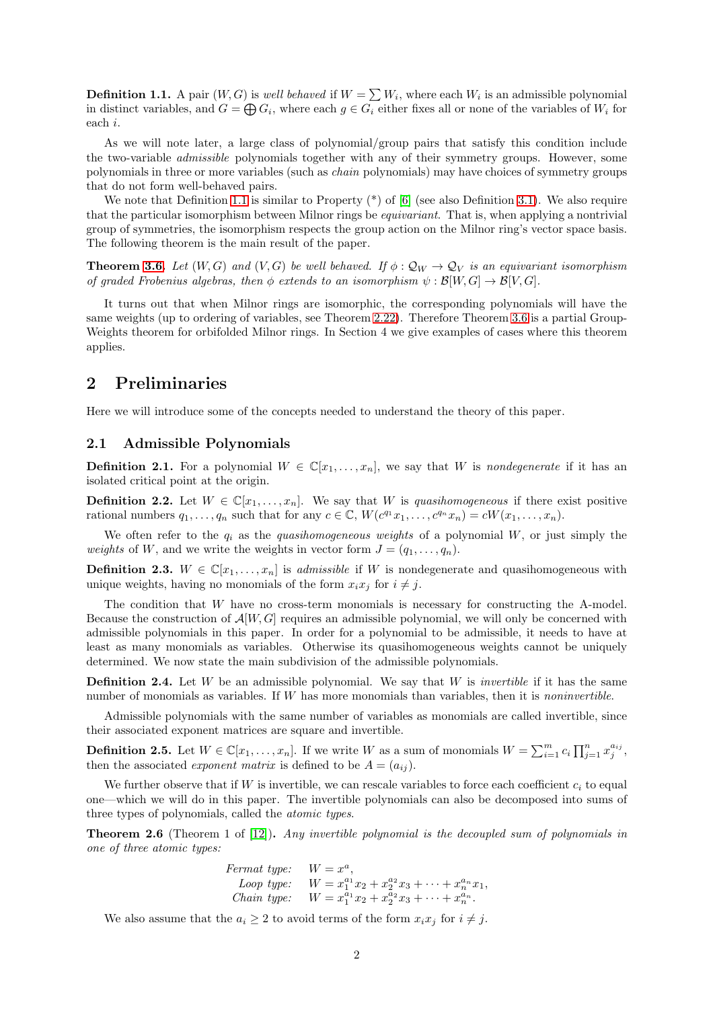<span id="page-1-0"></span>**Definition 1.1.** A pair  $(W, G)$  is *well behaved* if  $W = \sum W_i$ , where each  $W_i$  is an admissible polynomial in distinct variables, and  $G = \bigoplus G_i$ , where each  $g \in \overline{G_i}$  either fixes all or none of the variables of  $W_i$  for each i.

As we will note later, a large class of polynomial/group pairs that satisfy this condition include the two-variable *admissible* polynomials together with any of their symmetry groups. However, some polynomials in three or more variables (such as *chain* polynomials) may have choices of symmetry groups that do not form well-behaved pairs.

We note that Definition [1.1](#page-1-0) is similar to Property  $(*)$  of [\[6\]](#page-9-8) (see also Definition [3.1\)](#page-4-1). We also require that the particular isomorphism between Milnor rings be *equivariant*. That is, when applying a nontrivial group of symmetries, the isomorphism respects the group action on the Milnor ring's vector space basis. The following theorem is the main result of the paper.

**Theorem [3.6.](#page-7-0)** *Let*  $(W, G)$  *and*  $(V, G)$  *be well behaved.* If  $\phi : \mathcal{Q}_W \to \mathcal{Q}_V$  *is an equivariant isomorphism of graded Frobenius algebras, then*  $\phi$  *extends to an isomorphism*  $\psi : \mathcal{B}[W, G] \to \mathcal{B}[V, G]$ *.* 

It turns out that when Milnor rings are isomorphic, the corresponding polynomials will have the same weights (up to ordering of variables, see Theorem [2.22\)](#page-4-2). Therefore Theorem [3.6](#page-7-0) is a partial Group-Weights theorem for orbifolded Milnor rings. In Section 4 we give examples of cases where this theorem applies.

## 2 Preliminaries

Here we will introduce some of the concepts needed to understand the theory of this paper.

### 2.1 Admissible Polynomials

**Definition 2.1.** For a polynomial  $W \in \mathbb{C}[x_1, \ldots, x_n]$ , we say that W is *nondegenerate* if it has an isolated critical point at the origin.

**Definition 2.2.** Let  $W \in \mathbb{C}[x_1, \ldots, x_n]$ . We say that W is *quasihomogeneous* if there exist positive rational numbers  $q_1, \ldots, q_n$  such that for any  $c \in \mathbb{C}$ ,  $W(c^{q_1}x_1, \ldots, c^{q_n}x_n) = cW(x_1, \ldots, x_n)$ .

We often refer to the  $q_i$  as the *quasihomogeneous weights* of a polynomial  $W$ , or just simply the *weights* of W, and we write the weights in vector form  $J = (q_1, \ldots, q_n)$ .

**Definition 2.3.**  $W \in \mathbb{C}[x_1,\ldots,x_n]$  is *admissible* if W is nondegenerate and quasihomogeneous with unique weights, having no monomials of the form  $x_ix_j$  for  $i \neq j$ .

The condition that W have no cross-term monomials is necessary for constructing the A-model. Because the construction of  $\mathcal{A}[W,G]$  requires an admissible polynomial, we will only be concerned with admissible polynomials in this paper. In order for a polynomial to be admissible, it needs to have at least as many monomials as variables. Otherwise its quasihomogeneous weights cannot be uniquely determined. We now state the main subdivision of the admissible polynomials.

Definition 2.4. Let W be an admissible polynomial. We say that W is *invertible* if it has the same number of monomials as variables. If W has more monomials than variables, then it is *noninvertible*.

Admissible polynomials with the same number of variables as monomials are called invertible, since their associated exponent matrices are square and invertible.

**Definition 2.5.** Let  $W \in \mathbb{C}[x_1,\ldots,x_n]$ . If we write W as a sum of monomials  $W = \sum_{i=1}^m c_i \prod_{j=1}^n x_j^{a_{ij}},$ then the associated *exponent matrix* is defined to be  $A = (a_{ij})$ .

We further observe that if W is invertible, we can rescale variables to force each coefficient  $c_i$  to equal one—which we will do in this paper. The invertible polynomials can also be decomposed into sums of three types of polynomials, called the *atomic types*.

Theorem 2.6 (Theorem 1 of [\[12\]](#page-9-10)). *Any invertible polynomial is the decoupled sum of polynomials in one of three atomic types:*

Fermat type: 
$$
W = x^a
$$
,  
Loop type:  $W = x_1^{a_1}x_2 + x_2^{a_2}x_3 + \cdots + x_n^{a_n}x_1$ ,  
Chain type:  $W = x_1^{a_1}x_2 + x_2^{a_2}x_3 + \cdots + x_n^{a_n}$ .

We also assume that the  $a_i \geq 2$  to avoid terms of the form  $x_i x_j$  for  $i \neq j$ .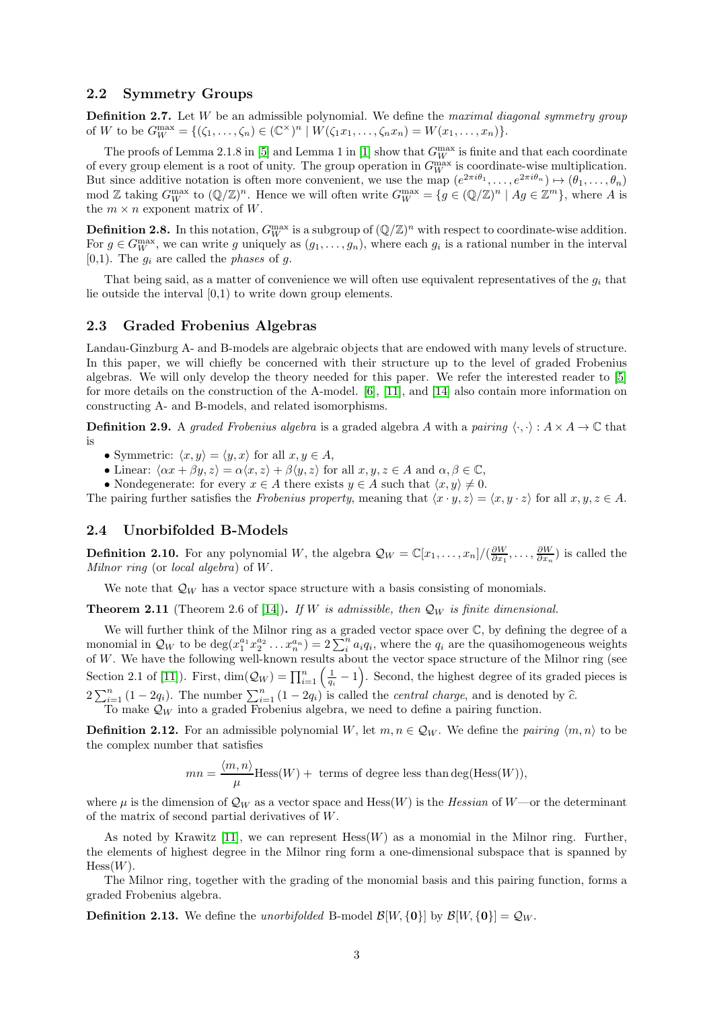#### 2.2 Symmetry Groups

Definition 2.7. Let W be an admissible polynomial. We define the *maximal diagonal symmetry group* of W to be  $G_W^{\max} = \{(\zeta_1, ..., \zeta_n) \in (\mathbb{C}^{\times})^n \mid W(\zeta_1 x_1, ..., \zeta_n x_n) = W(x_1, ..., x_n)\}.$ 

The proofs of Lemma 2.1.8 in [\[5\]](#page-9-0) and Lemma 1 in [\[1\]](#page-9-11) show that  $G_W^{\max}$  is finite and that each coordinate of every group element is a root of unity. The group operation in  $G_W^{\text{max}}$  is coordinate-wise multiplication. But since additive notation is often more convenient, we use the map  $(e^{2\pi i\theta_1}, \ldots, e^{2\pi i\theta_n}) \mapsto (\theta_1, \ldots, \theta_n)$ mod Z taking  $G_W^{\max}$  to  $(\mathbb{Q}/\mathbb{Z})^n$ . Hence we will often write  $G_W^{\max} = \{g \in (\mathbb{Q}/\mathbb{Z})^n \mid Ag \in \mathbb{Z}^m\}$ , where A is the  $m \times n$  exponent matrix of W.

**Definition 2.8.** In this notation,  $G_W^{\max}$  is a subgroup of  $(\mathbb{Q}/\mathbb{Z})^n$  with respect to coordinate-wise addition. For  $g \in G_W^{\max}$ , we can write g uniquely as  $(g_1, \ldots, g_n)$ , where each  $g_i$  is a rational number in the interval  $[0,1)$ . The  $g_i$  are called the *phases* of g.

That being said, as a matter of convenience we will often use equivalent representatives of the  $q_i$  that lie outside the interval [0,1) to write down group elements.

#### 2.3 Graded Frobenius Algebras

Landau-Ginzburg A- and B-models are algebraic objects that are endowed with many levels of structure. In this paper, we will chiefly be concerned with their structure up to the level of graded Frobenius algebras. We will only develop the theory needed for this paper. We refer the interested reader to [\[5\]](#page-9-0) for more details on the construction of the A-model. [\[6\]](#page-9-8), [\[11\]](#page-9-5), and [\[14\]](#page-9-9) also contain more information on constructing A- and B-models, and related isomorphisms.

**Definition 2.9.** A *graded Frobenius algebra* is a graded algebra A with a *pairing*  $\langle \cdot, \cdot \rangle : A \times A \rightarrow \mathbb{C}$  that is

• Symmetric:  $\langle x, y \rangle = \langle y, x \rangle$  for all  $x, y \in A$ ,

• Linear:  $\langle \alpha x + \beta y, z \rangle = \alpha \langle x, z \rangle + \beta \langle y, z \rangle$  for all  $x, y, z \in A$  and  $\alpha, \beta \in \mathbb{C}$ ,

• Nondegenerate: for every  $x \in A$  there exists  $y \in A$  such that  $\langle x, y \rangle \neq 0$ .

The pairing further satisfies the *Frobenius property*, meaning that  $\langle x \cdot y, z \rangle = \langle x, y \cdot z \rangle$  for all  $x, y, z \in A$ .

#### 2.4 Unorbifolded B-Models

**Definition 2.10.** For any polynomial W, the algebra  $\mathcal{Q}_W = \mathbb{C}[x_1,\ldots,x_n]/(\frac{\partial W}{\partial x_1},\ldots,\frac{\partial W}{\partial x_n})$  is called the *Milnor ring* (or *local algebra*) of W.

We note that  $\mathcal{Q}_W$  has a vector space structure with a basis consisting of monomials.

**Theorem 2.11** (Theorem 2.6 of [\[14\]](#page-9-9)). *If* W *is admissible, then*  $Q_W$  *is finite dimensional.* 

We will further think of the Milnor ring as a graded vector space over  $\mathbb{C}$ , by defining the degree of a monomial in  $\mathcal{Q}_W$  to be  $\deg(x_1^{a_1}x_2^{a_2}\ldots x_n^{a_n})=2\sum_i^n a_iq_i$ , where the  $q_i$  are the quasihomogeneous weights of  $W$ . We have the following well-known results about the vector space structure of the Milnor ring (see Section 2.1 of [\[11\]](#page-9-5)). First,  $\dim(Q_W) = \prod_{i=1}^n \left(\frac{1}{q_i} - 1\right)$ . Second, the highest degree of its graded pieces is  $2\sum_{i=1}^{n} (1-2q_i)$ . The number  $\sum_{i=1}^{n} (1-2q_i)$  is called the *central charge*, and is denoted by  $\hat{c}$ . To make  $\mathcal{Q}_W$  into a graded Frobenius algebra, we need to define a pairing function.

**Definition 2.12.** For an admissible polynomial W, let  $m, n \in \mathcal{Q}_W$ . We define the *pairing*  $\langle m, n \rangle$  to be the complex number that satisfies

$$
mn = \frac{\langle m, n \rangle}{\mu} \text{Hess}(W) + \text{ terms of degree less than } \text{deg}(\text{Hess}(W)),
$$

where  $\mu$  is the dimension of  $\mathcal{Q}_W$  as a vector space and Hess $(W)$  is the *Hessian* of  $W$ —or the determinant of the matrix of second partial derivatives of W.

As noted by Krawitz [\[11\]](#page-9-5), we can represent  $Hess(W)$  as a monomial in the Milnor ring. Further, the elements of highest degree in the Milnor ring form a one-dimensional subspace that is spanned by  $Hess(W)$ .

The Milnor ring, together with the grading of the monomial basis and this pairing function, forms a graded Frobenius algebra.

**Definition 2.13.** We define the *unorbifolded* B-model  $\mathcal{B}[W,\{0\}]$  by  $\mathcal{B}[W,\{0\}] = \mathcal{Q}_W$ .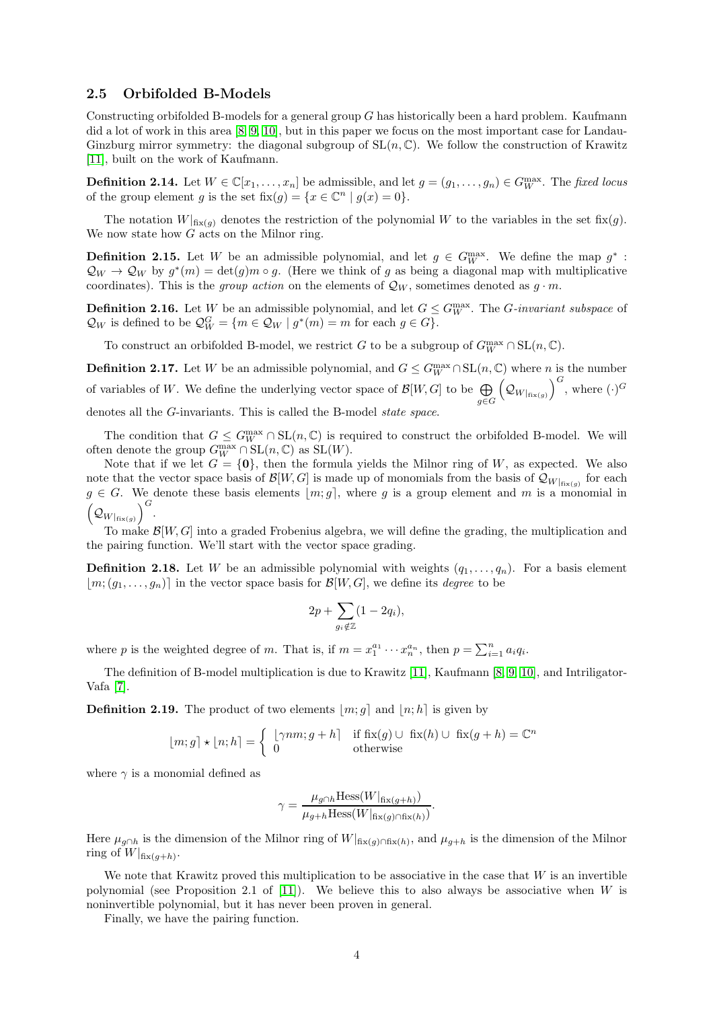#### 2.5 Orbifolded B-Models

Constructing orbifolded B-models for a general group  $G$  has historically been a hard problem. Kaufmann did a lot of work in this area [\[8,](#page-9-2) [9,](#page-9-3) [10\]](#page-9-4), but in this paper we focus on the most important case for Landau-Ginzburg mirror symmetry: the diagonal subgroup of  $SL(n, \mathbb{C})$ . We follow the construction of Krawitz [\[11\]](#page-9-5), built on the work of Kaufmann.

**Definition 2.14.** Let  $W \in \mathbb{C}[x_1,\ldots,x_n]$  be admissible, and let  $g = (g_1,\ldots,g_n) \in G_W^{\max}$ . The *fixed locus* of the group element g is the set  $fix(g) = \{x \in \mathbb{C}^n \mid g(x) = 0\}.$ 

The notation  $W|_{\text{fix}(g)}$  denotes the restriction of the polynomial W to the variables in the set fix $(g)$ . We now state how  $G$  acts on the Milnor ring.

**Definition 2.15.** Let W be an admissible polynomial, and let  $g \in G_W^{\max}$ . We define the map  $g^*$ :  $\mathcal{Q}_W \to \mathcal{Q}_W$  by  $g^*(m) = \det(g)m \circ g$ . (Here we think of g as being a diagonal map with multiplicative coordinates). This is the *group action* on the elements of  $\mathcal{Q}_W$ , sometimes denoted as  $q \cdot m$ .

**Definition 2.16.** Let W be an admissible polynomial, and let  $G \leq G_{W}^{\max}$ . The G-invariant subspace of  $\mathcal{Q}_W$  is defined to be  $\mathcal{Q}_W^G = \{ m \in \mathcal{Q}_W \mid g^*(m) = m \text{ for each } g \in G \}.$ 

To construct an orbifolded B-model, we restrict G to be a subgroup of  $G_W^{\max} \cap SL(n, \mathbb{C})$ .

**Definition 2.17.** Let W be an admissible polynomial, and  $G \leq G_W^{\max} \cap SL(n, \mathbb{C})$  where n is the number of variables of W. We define the underlying vector space of  $\mathcal{B}[W, G]$  to be  $\bigoplus$ g∈G  $\left(\mathcal{Q}_{W|_{\textrm{fix}(g)}}\right)^G$ , where  $(\cdot)^G$ denotes all the G-invariants. This is called the B-model *state space*.

The condition that  $G \leq G_{W}^{\max} \cap SL(n, \mathbb{C})$  is required to construct the orbifolded B-model. We will often denote the group  $G_W^{\max} \cap SL(n, \mathbb{C})$  as  $SL(W)$ .

Note that if we let  $G = \{0\}$ , then the formula yields the Milnor ring of W, as expected. We also note that the vector space basis of  $\mathcal{B}[W,G]$  is made up of monomials from the basis of  $\mathcal{Q}_{W|_{fix(g)}}$  for each  $g \in G$ . We denote these basis elements  $\lfloor m; g \rfloor$ , where g is a group element and m is a monomial in  $\left(\mathcal{Q}_{W|_{\textrm{fix}(g)}}\right)^G$ .

To make  $\mathcal{B}[W, G]$  into a graded Frobenius algebra, we will define the grading, the multiplication and the pairing function. We'll start with the vector space grading.

**Definition 2.18.** Let W be an admissible polynomial with weights  $(q_1, \ldots, q_n)$ . For a basis element  $|m;(g_1,\ldots,g_n)|$  in the vector space basis for  $\mathcal{B}[W,G]$ , we define its *degree* to be

$$
2p + \sum_{g_i \notin \mathbb{Z}} (1 - 2q_i),
$$

where p is the weighted degree of m. That is, if  $m = x_1^{a_1} \cdots x_n^{a_n}$ , then  $p = \sum_{i=1}^n a_i q_i$ .

The definition of B-model multiplication is due to Krawitz [\[11\]](#page-9-5), Kaufmann [\[8,](#page-9-2) [9,](#page-9-3) [10\]](#page-9-4), and Intriligator-Vafa [\[7\]](#page-9-1).

**Definition 2.19.** The product of two elements  $[m; q]$  and  $[n; h]$  is given by

$$
\lfloor m; g \rceil \star \lfloor n; h \rceil = \begin{cases} \lfloor \gamma nm; g + h \rceil & \text{if } \text{fix}(g) \cup \text{ fix}(h) \cup \text{ fix}(g + h) = \mathbb{C}^n \\ 0 & \text{otherwise} \end{cases}
$$

where  $\gamma$  is a monomial defined as

$$
\gamma = \frac{\mu_{g \cap h} \text{Hess}(W|_{\text{fix}(g+h)})}{\mu_{g+h} \text{Hess}(W|_{\text{fix}(g) \cap \text{fix}(h)})}.
$$

Here  $\mu_{g\cap h}$  is the dimension of the Milnor ring of  $W|_{\text{fix}(g)\cap \text{fix}(h)}$ , and  $\mu_{g+h}$  is the dimension of the Milnor ring of  $W|_{\text{fix}(g+h)}$ .

We note that Krawitz proved this multiplication to be associative in the case that  $W$  is an invertible polynomial (see Proposition 2.1 of  $[11]$ ). We believe this to also always be associative when W is noninvertible polynomial, but it has never been proven in general.

Finally, we have the pairing function.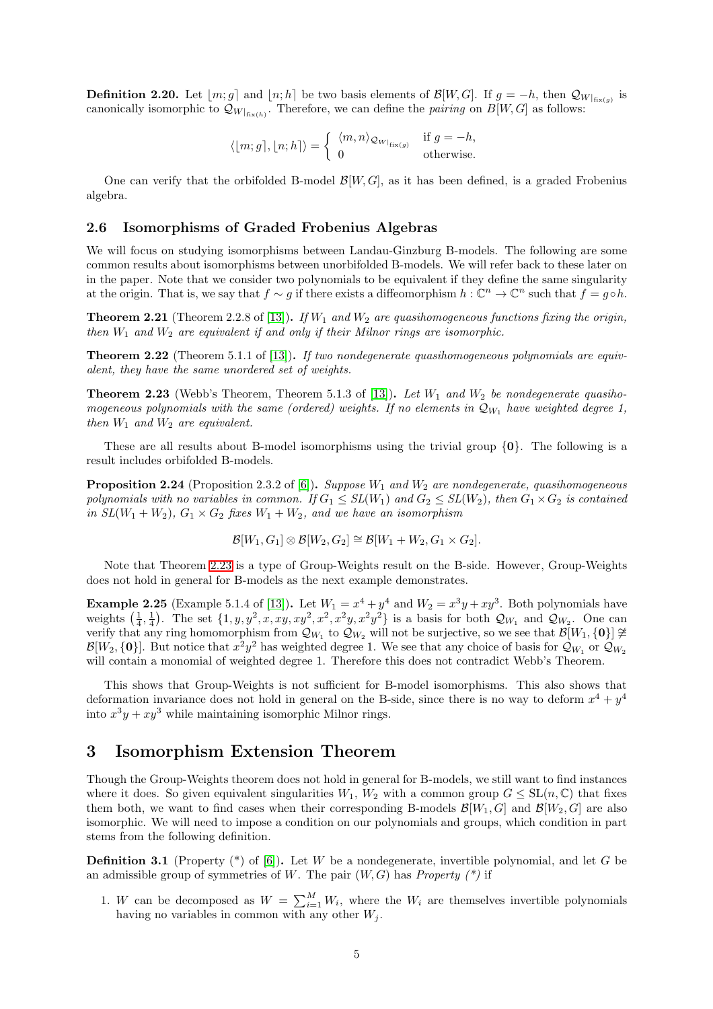**Definition 2.20.** Let  $[m; g]$  and  $[n; h]$  be two basis elements of  $\mathcal{B}[W, G]$ . If  $g = -h$ , then  $\mathcal{Q}_{W|_{fix(g)}}$  is canonically isomorphic to  $\mathcal{Q}_{W|_{fix(h)}}$ . Therefore, we can define the *pairing* on  $B[W,G]$  as follows:

$$
\langle [m; g], [n; h] \rangle = \begin{cases} \langle m, n \rangle_{\mathcal{Q}_{W|_{\text{fix}(g)}}} & \text{if } g = -h, \\ 0 & \text{otherwise.} \end{cases}
$$

One can verify that the orbifolded B-model  $\mathcal{B}[W,G]$ , as it has been defined, is a graded Frobenius algebra.

### 2.6 Isomorphisms of Graded Frobenius Algebras

We will focus on studying isomorphisms between Landau-Ginzburg B-models. The following are some common results about isomorphisms between unorbifolded B-models. We will refer back to these later on in the paper. Note that we consider two polynomials to be equivalent if they define the same singularity at the origin. That is, we say that  $f \sim g$  if there exists a diffeomorphism  $h : \mathbb{C}^n \to \mathbb{C}^n$  such that  $f = g \circ h$ .

Theorem 2.21 (Theorem 2.2.8 of [\[13\]](#page-9-12)). *If*  $W_1$  *and*  $W_2$  *are quasihomogeneous functions fixing the origin, then*  $W_1$  *and*  $W_2$  *are equivalent if and only if their Milnor rings are isomorphic.* 

<span id="page-4-2"></span>Theorem 2.22 (Theorem 5.1.1 of [\[13\]](#page-9-12)). *If two nondegenerate quasihomogeneous polynomials are equivalent, they have the same unordered set of weights.*

<span id="page-4-3"></span>**Theorem 2.23** (Webb's Theorem, Theorem 5.1.3 of [\[13\]](#page-9-12)). Let  $W_1$  and  $W_2$  be nondegenerate quasiho*mogeneous polynomials with the same (ordered) weights. If no elements in*  $Q_{W_1}$  *have weighted degree 1, then*  $W_1$  *and*  $W_2$  *are equivalent.* 

These are all results about B-model isomorphisms using the trivial group  $\{0\}$ . The following is a result includes orbifolded B-models.

<span id="page-4-4"></span>Proposition 2.24 (Proposition 2.3.2 of [\[6\]](#page-9-8)). *Suppose*  $W_1$  *and*  $W_2$  *are nondegenerate, quasihomogeneous polynomials with no variables in common. If*  $G_1 \leq SL(W_1)$  *and*  $G_2 \leq SL(W_2)$ *, then*  $G_1 \times G_2$  *is contained in SL*( $W_1 + W_2$ ),  $G_1 \times G_2$  *fixes*  $W_1 + W_2$ *, and we have an isomorphism* 

$$
\mathcal{B}[W_1, G_1] \otimes \mathcal{B}[W_2, G_2] \cong \mathcal{B}[W_1 + W_2, G_1 \times G_2].
$$

Note that Theorem [2.23](#page-4-3) is a type of Group-Weights result on the B-side. However, Group-Weights does not hold in general for B-models as the next example demonstrates.

<span id="page-4-0"></span>**Example 2.25** (Example 5.1.4 of [\[13\]](#page-9-12)). Let  $W_1 = x^4 + y^4$  and  $W_2 = x^3y + xy^3$ . Both polynomials have weights  $(\frac{1}{4}, \frac{1}{4})$ . The set  $\{1, y, y^2, x, xy, xy^2, x^2, x^2y, x^2y^2\}$  is a basis for both  $\mathcal{Q}_{W_1}$  and  $\mathcal{Q}_{W_2}$ . One can verify that any ring homomorphism from  $\mathcal{Q}_{W_1}$  to  $\mathcal{Q}_{W_2}$  will not be surjective, so we see that  $\mathcal{B}[W_1,\{0\}] \not\cong$  $\mathcal{B}[W_2,\{\bf 0\}]$ . But notice that  $x^2y^2$  has weighted degree 1. We see that any choice of basis for  $\mathcal{Q}_{W_1}$  or  $\mathcal{Q}_{W_2}$ will contain a monomial of weighted degree 1. Therefore this does not contradict Webb's Theorem.

This shows that Group-Weights is not sufficient for B-model isomorphisms. This also shows that deformation invariance does not hold in general on the B-side, since there is no way to deform  $x^4 + y^4$ into  $x^3y + xy^3$  while maintaining isomorphic Milnor rings.

## 3 Isomorphism Extension Theorem

Though the Group-Weights theorem does not hold in general for B-models, we still want to find instances where it does. So given equivalent singularities  $W_1, W_2$  with a common group  $G \le SL(n, \mathbb{C})$  that fixes them both, we want to find cases when their corresponding B-models  $\mathcal{B}[W_1, G]$  and  $\mathcal{B}[W_2, G]$  are also isomorphic. We will need to impose a condition on our polynomials and groups, which condition in part stems from the following definition.

<span id="page-4-1"></span>**Definition 3.1** (Property  $(*)$  of [\[6\]](#page-9-8)). Let W be a nondegenerate, invertible polynomial, and let G be an admissible group of symmetries of W. The pair  $(W, G)$  has *Property*  $(*)$  if

1. W can be decomposed as  $W = \sum_{i=1}^{M} W_i$ , where the  $W_i$  are themselves invertible polynomials having no variables in common with any other  $W_j$ .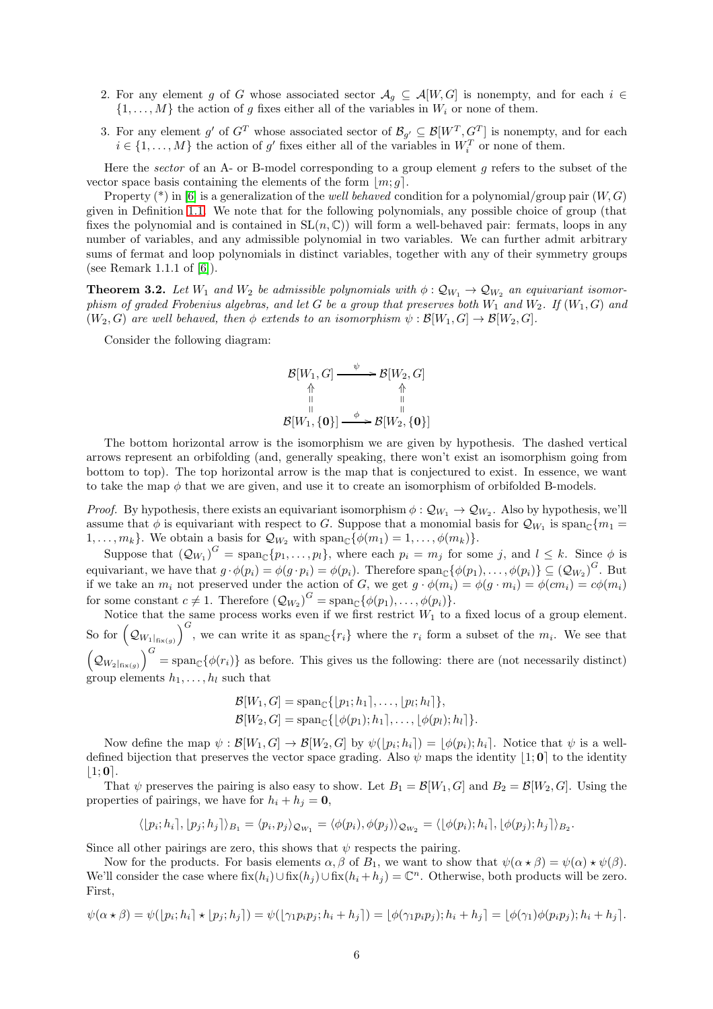- 2. For any element g of G whose associated sector  $A_g \subseteq A[W,G]$  is nonempty, and for each  $i \in$  $\{1, \ldots, M\}$  the action of g fixes either all of the variables in  $W_i$  or none of them.
- 3. For any element g' of  $G<sup>T</sup>$  whose associated sector of  $\mathcal{B}_{g'} \subseteq \mathcal{B}[W<sup>T</sup>, G<sup>T</sup>]$  is nonempty, and for each  $i \in \{1, \ldots, M\}$  the action of  $g'$  fixes either all of the variables in  $W_i^T$  or none of them.

Here the *sector* of an A- or B-model corresponding to a group element g refers to the subset of the vector space basis containing the elements of the form  $|m; g|$ .

Property (\*) in [\[6\]](#page-9-8) is a generalization of the *well behaved* condition for a polynomial/group pair (W, G) given in Definition [1.1.](#page-1-0) We note that for the following polynomials, any possible choice of group (that fixes the polynomial and is contained in  $SL(n, \mathbb{C})$  will form a well-behaved pair: fermats, loops in any number of variables, and any admissible polynomial in two variables. We can further admit arbitrary sums of fermat and loop polynomials in distinct variables, together with any of their symmetry groups (see Remark 1.1.1 of [\[6\]](#page-9-8)).

<span id="page-5-0"></span>**Theorem 3.2.** Let  $W_1$  and  $W_2$  be admissible polynomials with  $\phi : \mathcal{Q}_{W_1} \to \mathcal{Q}_{W_2}$  an equivariant isomor*phism of graded Frobenius algebras, and let*  $G$  *be a group that preserves both*  $W_1$  *and*  $W_2$ *. If*  $(W_1, G)$  *and*  $(W_2, G)$  are well behaved, then  $\phi$  extends to an isomorphism  $\psi : \mathcal{B}[W_1, G] \to \mathcal{B}[W_2, G]$ .

Consider the following diagram:

$$
\mathcal{B}[W_1, G] \xrightarrow{\psi} \mathcal{B}[W_2, G] \n\uparrow \qquad \uparrow \qquad \uparrow \qquad \uparrow \qquad \uparrow \qquad \uparrow \qquad \uparrow \qquad \downarrow \qquad \downarrow \qquad \downarrow \qquad \downarrow \qquad \downarrow \qquad \downarrow \qquad \downarrow \qquad \downarrow \qquad \downarrow \qquad \downarrow \qquad \downarrow \qquad \downarrow \qquad \downarrow \qquad \downarrow \qquad \downarrow \qquad \downarrow \qquad \downarrow \qquad \downarrow \qquad \downarrow \qquad \downarrow \qquad \downarrow \qquad \downarrow \qquad \downarrow \qquad \downarrow \qquad \downarrow \qquad \downarrow \qquad \downarrow \qquad \downarrow \qquad \downarrow \qquad \downarrow \qquad \downarrow \qquad \downarrow \qquad \downarrow \qquad \downarrow \qquad \downarrow \qquad \downarrow \qquad \downarrow \qquad \downarrow \qquad \downarrow \qquad \downarrow \qquad \downarrow \qquad \downarrow \qquad \downarrow \qquad \downarrow \qquad \downarrow \qquad \downarrow \qquad \downarrow \qquad \downarrow \qquad \downarrow \qquad \downarrow \qquad \downarrow \qquad \downarrow \qquad \downarrow \qquad \downarrow \qquad \downarrow \qquad \downarrow \qquad \downarrow \qquad \downarrow \qquad \downarrow \qquad \downarrow \qquad \downarrow \qquad \downarrow \qquad \downarrow \qquad \downarrow \qquad \downarrow \qquad \downarrow \qquad \downarrow \qquad \downarrow \qquad \downarrow \qquad \downarrow \qquad \downarrow \qquad \downarrow \qquad \downarrow \qquad \downarrow \qquad \downarrow \qquad \downarrow \qquad \downarrow \qquad \downarrow \qquad \downarrow \qquad \downarrow \qquad \downarrow \qquad \downarrow \qquad \downarrow \qquad \downarrow \qquad \downarrow \qquad \downarrow \qquad \downarrow \qquad \downarrow \qquad \downarrow \qquad \downarrow \qquad \downarrow \qquad \downarrow \qquad \downarrow \qquad \downarrow \qquad \downarrow \qquad \downarrow \qquad \downarrow \qquad \downarrow \qquad \downarrow \qquad \downarrow \qquad \downarrow \qquad \downarrow \qquad \downarrow \qquad \downarrow \qquad \downarrow \qquad \downarrow \qquad \downarrow \qquad \downarrow \qquad \downarrow \qquad \downarrow \qquad \downarrow \qquad \downarrow \qquad \downarrow \qquad \downarrow \qquad
$$

The bottom horizontal arrow is the isomorphism we are given by hypothesis. The dashed vertical arrows represent an orbifolding (and, generally speaking, there won't exist an isomorphism going from bottom to top). The top horizontal arrow is the map that is conjectured to exist. In essence, we want to take the map  $\phi$  that we are given, and use it to create an isomorphism of orbifolded B-models.

*Proof.* By hypothesis, there exists an equivariant isomorphism  $\phi : Q_{W_1} \to Q_{W_2}$ . Also by hypothesis, we'll assume that  $\phi$  is equivariant with respect to G. Suppose that a monomial basis for  $\mathcal{Q}_{W_1}$  is  $\text{span}_{\mathbb{C}}\{m_1 =$  $1, \ldots, m_k$ . We obtain a basis for  $\mathcal{Q}_{W_2}$  with  $\text{span}_{\mathbb{C}}\{\phi(m_1) = 1, \ldots, \phi(m_k)\}.$ 

Suppose that  $(Q_{W_1})^G = \text{span}_{\mathbb{C}}\{p_1,\ldots,p_l\}$ , where each  $p_i = m_j$  for some j, and  $l \leq k$ . Since  $\phi$  is equivariant, we have that  $g \cdot \phi(p_i) = \phi(g \cdot p_i) = \phi(p_i)$ . Therefore  $\text{span}_{\mathbb{C}}\{\phi(p_1), \dots, \phi(p_i)\} \subseteq (\mathcal{Q}_{W_2})^G$ . But if we take an  $m_i$  not preserved under the action of G, we get  $g \cdot \phi(m_i) = \phi(g \cdot m_i) = \phi(cm_i) = c\phi(m_i)$ for some constant  $c \neq 1$ . Therefore  $(Q_{W_2})^G = \text{span}_{\mathbb{C}}\{\phi(p_1), \dots, \phi(p_i)\}.$ 

Notice that the same process works even if we first restrict  $W_1$  to a fixed locus of a group element. So for  $(Q_{W_1|_{\text{fix}(g)}})^G$ , we can write it as span<sub>C</sub>{r<sub>i</sub>} where the r<sub>i</sub> form a subset of the m<sub>i</sub>. We see that  $\left(\mathcal{Q}_{W_2|_{\text{fix}(g)}}\right)^G = \text{span}_{\mathbb{C}}\{\phi(r_i)\}\$ as before. This gives us the following: there are (not necessarily distinct) group elements  $h_1, \ldots, h_l$  such that

$$
\mathcal{B}[W_1, G] = \text{span}_{\mathbb{C}}\{ [p_1; h_1], \dots, [p_l; h_l] \}, \n\mathcal{B}[W_2, G] = \text{span}_{\mathbb{C}}\{ [\phi(p_1); h_1], \dots, [\phi(p_l); h_l] \}.
$$

Now define the map  $\psi : \mathcal{B}[W_1, G] \to \mathcal{B}[W_2, G]$  by  $\psi([p_i; h_i]) = [\phi(p_i); h_i]$ . Notice that  $\psi$  is a welldefined bijection that preserves the vector space grading. Also  $\psi$  maps the identity  $\ket{1;0}$  to the identity  $|1; 0|.$ 

That  $\psi$  preserves the pairing is also easy to show. Let  $B_1 = \mathcal{B}[W_1, G]$  and  $B_2 = \mathcal{B}[W_2, G]$ . Using the properties of pairings, we have for  $h_i + h_j = 0$ ,

$$
\langle [p_i; h_i], [p_j; h_j] \rangle_{B_1} = \langle p_i, p_j \rangle_{\mathcal{Q}_{W_1}} = \langle \phi(p_i), \phi(p_j) \rangle_{\mathcal{Q}_{W_2}} = \langle [\phi(p_i); h_i], [\phi(p_j); h_j] \rangle_{B_2}.
$$

Since all other pairings are zero, this shows that  $\psi$  respects the pairing.

Now for the products. For basis elements  $\alpha, \beta$  of  $B_1$ , we want to show that  $\psi(\alpha \star \beta) = \psi(\alpha) \star \psi(\beta)$ . We'll consider the case where  $\operatorname{fix}(h_i) \cup \operatorname{fix}(h_j) \cup \operatorname{fix}(h_i + h_j) = \mathbb{C}^n$ . Otherwise, both products will be zero. First,

$$
\psi(\alpha \star \beta) = \psi([p_i; h_i] \star [p_j; h_j]) = \psi([\gamma_1 p_i p_j; h_i + h_j]) = [\phi(\gamma_1 p_i p_j); h_i + h_j] = [\phi(\gamma_1)\phi(p_i p_j); h_i + h_j].
$$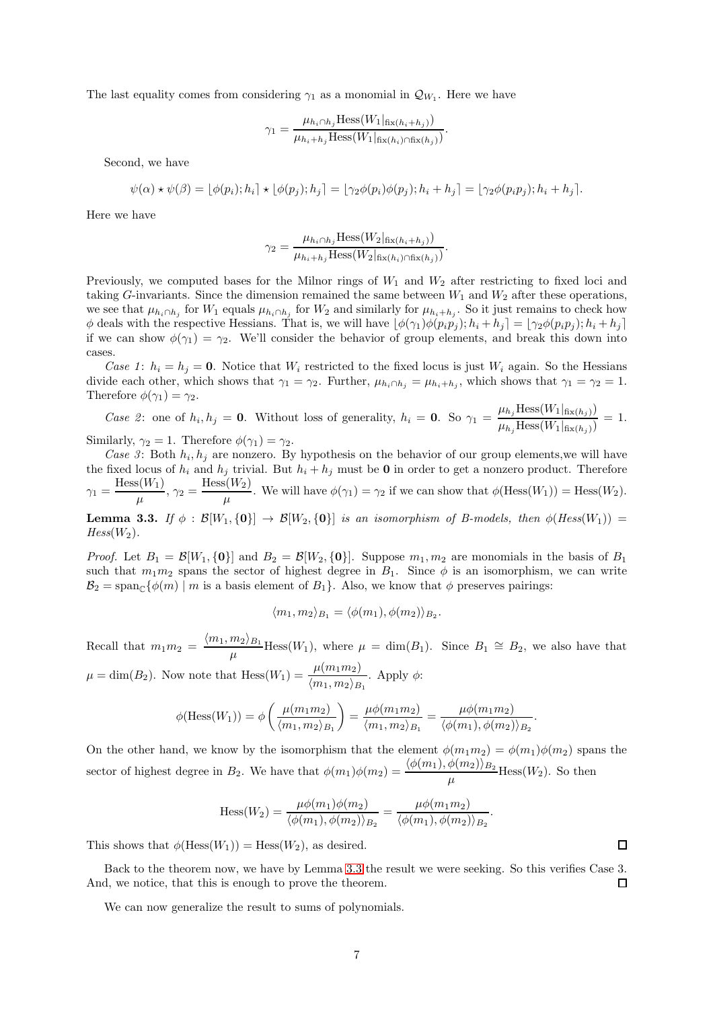The last equality comes from considering  $\gamma_1$  as a monomial in  $\mathcal{Q}_{W_1}$ . Here we have

$$
\gamma_1 = \frac{\mu_{h_i \cap h_j} \text{Hess}(W_1|_{\text{fix}(h_i + h_j)})}{\mu_{h_i + h_j} \text{Hess}(W_1|_{\text{fix}(h_i) \cap \text{fix}(h_j)})}.
$$

Second, we have

$$
\psi(\alpha) \star \psi(\beta) = [\phi(p_i); h_i] \star [\phi(p_j); h_j] = [\gamma_2 \phi(p_i) \phi(p_j); h_i + h_j] = [\gamma_2 \phi(p_i p_j); h_i + h_j].
$$

Here we have

$$
\gamma_2 = \frac{\mu_{h_i \cap h_j} \text{Hess}(W_2|_{\text{fix}(h_i + h_j)})}{\mu_{h_i + h_j} \text{Hess}(W_2|_{\text{fix}(h_i) \cap \text{fix}(h_j)})}
$$

.

Previously, we computed bases for the Milnor rings of  $W_1$  and  $W_2$  after restricting to fixed loci and taking G-invariants. Since the dimension remained the same between  $W_1$  and  $W_2$  after these operations, we see that  $\mu_{h_i \cap h_j}$  for  $W_1$  equals  $\mu_{h_i \cap h_j}$  for  $W_2$  and similarly for  $\mu_{h_i+h_j}$ . So it just remains to check how  $\phi$  deals with the respective Hessians. That is, we will have  $\left[\phi(\gamma_1)\phi(p_ip_j); h_i + h_j\right] = \left[\gamma_2\phi(p_ip_j); h_i + h_j\right]$ if we can show  $\phi(\gamma_1) = \gamma_2$ . We'll consider the behavior of group elements, and break this down into cases.

*Case 1*:  $h_i = h_j = 0$ . Notice that  $W_i$  restricted to the fixed locus is just  $W_i$  again. So the Hessians divide each other, which shows that  $\gamma_1 = \gamma_2$ . Further,  $\mu_{h_i \cap h_j} = \mu_{h_i + h_j}$ , which shows that  $\gamma_1 = \gamma_2 = 1$ . Therefore  $\phi(\gamma_1) = \gamma_2$ .

*Case 2*: one of  $h_i, h_j = 0$ . Without loss of generality,  $h_i = 0$ . So  $\gamma_1 = \frac{\mu_{h_j} \text{Hess}(W_1|_{\text{fix}(h_j)})}{\text{Hess}(W_1|_{\text{fix}(h_j)})}$  $\frac{\mu_{h_j}(\mathbf{H}_{\text{in}}(h_j))}{\mu_{h_j} \text{Hess}(W_1|_{\text{fix}(h_j)})} = 1.$ 

Similarly,  $\gamma_2 = 1$ . Therefore  $\phi(\gamma_1) = \gamma_2$ .

*Case 3*: Both  $h_i, h_j$  are nonzero. By hypothesis on the behavior of our group elements, we will have the fixed locus of  $h_i$  and  $h_j$  trivial. But  $h_i + h_j$  must be 0 in order to get a nonzero product. Therefore  $\gamma_1 = \frac{\text{Hess}(W_1)}{W_1}$  $\frac{\mathrm{s}(W_1)}{\mu},\,\gamma_2=\frac{\mathrm{Hess}(W_2)}{\mu}$  $\frac{\partial \langle W_1 \rangle}{\partial \mu}$ . We will have  $\phi(\gamma_1) = \gamma_2$  if we can show that  $\phi(\text{Hess}(W_1)) = \text{Hess}(W_2)$ .

<span id="page-6-0"></span>**Lemma 3.3.** *If*  $\phi$  :  $\mathcal{B}[W_1, \{0\}] \rightarrow \mathcal{B}[W_2, \{0\}]$  *is an isomorphism of B-models, then*  $\phi(Hess(W_1)) =$  $Hess(W_2)$ .

*Proof.* Let  $B_1 = \mathcal{B}[W_1, \{0\}]$  and  $B_2 = \mathcal{B}[W_2, \{0\}]$ . Suppose  $m_1, m_2$  are monomials in the basis of  $B_1$ such that  $m_1m_2$  spans the sector of highest degree in  $B_1$ . Since  $\phi$  is an isomorphism, we can write  $\mathcal{B}_2 = \text{span}_{\mathbb{C}}\{\phi(m) \mid m \text{ is a basis element of } B_1\}.$  Also, we know that  $\phi$  preserves pairings:

$$
\langle m_1, m_2 \rangle_{B_1} = \langle \phi(m_1), \phi(m_2) \rangle_{B_2}.
$$

Recall that  $m_1 m_2 = \frac{\langle m_1, m_2 \rangle_{B_1}}{\langle m_1, m_2 \rangle_{B_1}}$  $\frac{m_{2}/B_1}{\mu}$  Hess( $W_1$ ), where  $\mu = \dim(B_1)$ . Since  $B_1 \cong B_2$ , we also have that

 $\mu = \dim(B_2)$ . Now note that  $\text{Hess}(W_1) = \frac{\mu(m_1 m_2)}{\langle m_1, m_2 \rangle_{B_1}}$ . Apply  $\phi$ :

$$
\phi(\text{Hess}(W_1)) = \phi\left(\frac{\mu(m_1m_2)}{\langle m_1, m_2 \rangle_{B_1}}\right) = \frac{\mu\phi(m_1m_2)}{\langle m_1, m_2 \rangle_{B_1}} = \frac{\mu\phi(m_1m_2)}{\langle \phi(m_1), \phi(m_2) \rangle_{B_2}}.
$$

On the other hand, we know by the isomorphism that the element  $\phi(m_1m_2) = \phi(m_1)\phi(m_2)$  spans the sector of highest degree in  $B_2$ . We have that  $\phi(m_1)\phi(m_2) = \frac{\langle \phi(m_1), \phi(m_2) \rangle_{B_2}}{\mu}$  Hess $(W_2)$ . So then

$$
\text{Hess}(W_2) = \frac{\mu\phi(m_1)\phi(m_2)}{\langle\phi(m_1), \phi(m_2)\rangle_{B_2}} = \frac{\mu\phi(m_1m_2)}{\langle\phi(m_1), \phi(m_2)\rangle_{B_2}}.
$$

This shows that  $\phi(\text{Hess}(W_1)) = \text{Hess}(W_2)$ , as desired.

Back to the theorem now, we have by Lemma [3.3](#page-6-0) the result we were seeking. So this verifies Case 3. And, we notice, that this is enough to prove the theorem.  $\Box$ 

We can now generalize the result to sums of polynomials.

 $\Box$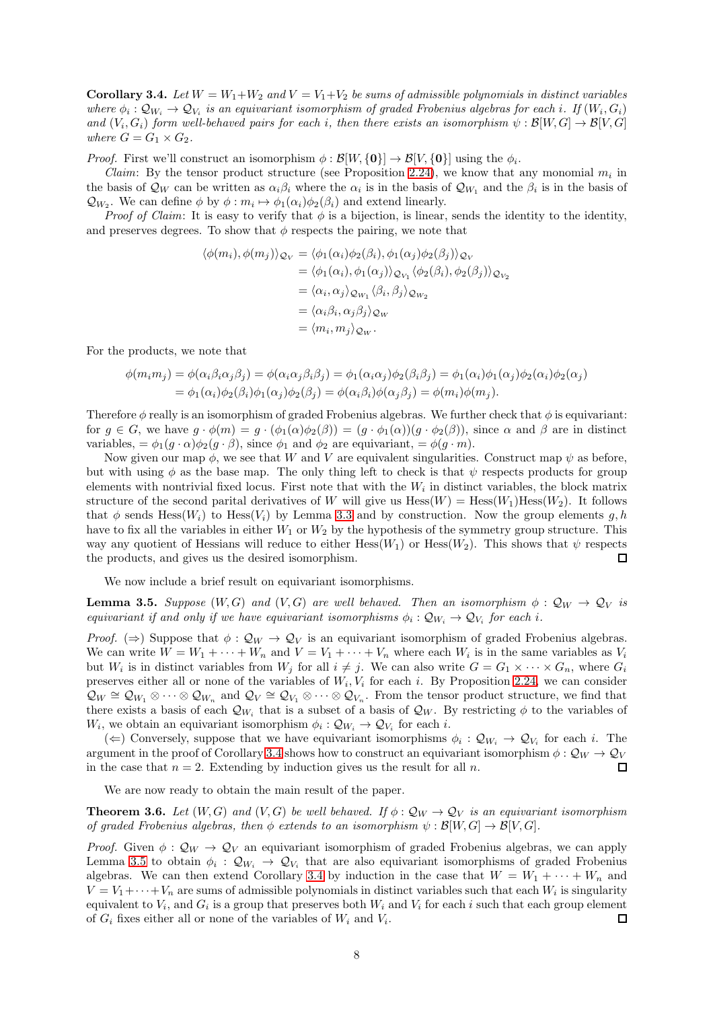<span id="page-7-1"></span>Corollary 3.4. Let  $W = W_1 + W_2$  and  $V = V_1 + V_2$  be sums of admissible polynomials in distinct variables *where*  $\phi_i: Q_{W_i} \to Q_{V_i}$  *is an equivariant isomorphism of graded Frobenius algebras for each i. If*  $(W_i, G_i)$ *and*  $(V_i, G_i)$  *form well-behaved pairs for each i*, *then there exists an isomorphism*  $\psi : \mathcal{B}[W, G] \to \mathcal{B}[V, G]$ *where*  $G = G_1 \times G_2$ *.* 

*Proof.* First we'll construct an isomorphism  $\phi : \mathcal{B}[W, {\bf{0}}] \to \mathcal{B}[V, {\bf{0}}]$  using the  $\phi_i$ .

*Claim*: By the tensor product structure (see Proposition [2.24\)](#page-4-4), we know that any monomial  $m_i$  in the basis of  $\mathcal{Q}_W$  can be written as  $\alpha_i\beta_i$  where the  $\alpha_i$  is in the basis of  $\mathcal{Q}_{W_1}$  and the  $\beta_i$  is in the basis of  $\mathcal{Q}_{W_2}$ . We can define  $\phi$  by  $\phi : m_i \mapsto \phi_1(\alpha_i)\phi_2(\beta_i)$  and extend linearly.

*Proof of Claim*: It is easy to verify that  $\phi$  is a bijection, is linear, sends the identity to the identity, and preserves degrees. To show that  $\phi$  respects the pairing, we note that

$$
\langle \phi(m_i), \phi(m_j) \rangle_{Q_V} = \langle \phi_1(\alpha_i) \phi_2(\beta_i), \phi_1(\alpha_j) \phi_2(\beta_j) \rangle_{Q_V}
$$
  
\n
$$
= \langle \phi_1(\alpha_i), \phi_1(\alpha_j) \rangle_{Q_{V_1}} \langle \phi_2(\beta_i), \phi_2(\beta_j) \rangle_{Q_{V_2}}
$$
  
\n
$$
= \langle \alpha_i, \alpha_j \rangle_{Q_{W_1}} \langle \beta_i, \beta_j \rangle_{Q_{W_2}}
$$
  
\n
$$
= \langle \alpha_i \beta_i, \alpha_j \beta_j \rangle_{Q_W}
$$
  
\n
$$
= \langle m_i, m_j \rangle_{Q_W}.
$$

For the products, we note that

$$
\phi(m_i m_j) = \phi(\alpha_i \beta_i \alpha_j \beta_j) = \phi(\alpha_i \alpha_j \beta_i \beta_j) = \phi_1(\alpha_i \alpha_j) \phi_2(\beta_i \beta_j) = \phi_1(\alpha_i) \phi_1(\alpha_j) \phi_2(\alpha_i) \phi_2(\alpha_j)
$$
  
= 
$$
\phi_1(\alpha_i) \phi_2(\beta_i) \phi_1(\alpha_j) \phi_2(\beta_j) = \phi(\alpha_i \beta_i) \phi(\alpha_j \beta_j) = \phi(m_i) \phi(m_j).
$$

Therefore  $\phi$  really is an isomorphism of graded Frobenius algebras. We further check that  $\phi$  is equivariant: for  $g \in G$ , we have  $g \cdot \phi(m) = g \cdot (\phi_1(\alpha)\phi_2(\beta)) = (g \cdot \phi_1(\alpha))(g \cdot \phi_2(\beta))$ , since  $\alpha$  and  $\beta$  are in distinct variables,  $= \phi_1(q \cdot \alpha) \phi_2(q \cdot \beta)$ , since  $\phi_1$  and  $\phi_2$  are equivariant,  $= \phi(q \cdot m)$ .

Now given our map  $\phi$ , we see that W and V are equivalent singularities. Construct map  $\psi$  as before, but with using  $\phi$  as the base map. The only thing left to check is that  $\psi$  respects products for group elements with nontrivial fixed locus. First note that with the  $W_i$  in distinct variables, the block matrix structure of the second parital derivatives of W will give us  $Hess(W) = Hess(W_1)Hess(W_2)$ . It follows that  $\phi$  sends Hess( $W_i$ ) to Hess( $V_i$ ) by Lemma [3.3](#page-6-0) and by construction. Now the group elements g, h have to fix all the variables in either  $W_1$  or  $W_2$  by the hypothesis of the symmetry group structure. This way any quotient of Hessians will reduce to either Hess( $W_1$ ) or Hess( $W_2$ ). This shows that  $\psi$  respects the products, and gives us the desired isomorphism.  $\Box$ 

We now include a brief result on equivariant isomorphisms.

<span id="page-7-2"></span>**Lemma 3.5.** *Suppose*  $(W, G)$  *and*  $(V, G)$  *are well behaved. Then an isomorphism*  $\phi : Q_W \to Q_V$  *is equivariant if and only if we have equivariant isomorphisms*  $\phi_i : Q_{W_i} \to Q_{V_i}$  for each i.

*Proof.* ( $\Rightarrow$ ) Suppose that  $\phi : Q_W \to Q_V$  is an equivariant isomorphism of graded Frobenius algebras. We can write  $W = W_1 + \cdots + W_n$  and  $V = V_1 + \cdots + V_n$  where each  $W_i$  is in the same variables as  $V_i$ but  $W_i$  is in distinct variables from  $W_j$  for all  $i \neq j$ . We can also write  $G = G_1 \times \cdots \times G_n$ , where  $G_i$ preserves either all or none of the variables of  $W_i, V_i$  for each i. By Proposition [2.24,](#page-4-4) we can consider  $Q_W \cong Q_{W_1} \otimes \cdots \otimes Q_{W_n}$  and  $Q_V \cong Q_{V_1} \otimes \cdots \otimes Q_{V_n}$ . From the tensor product structure, we find that there exists a basis of each  $\mathcal{Q}_{W_i}$  that is a subset of a basis of  $\mathcal{Q}_W$ . By restricting  $\phi$  to the variables of  $W_i$ , we obtain an equivariant isomorphism  $\phi_i: \mathcal{Q}_{W_i} \to \mathcal{Q}_{V_i}$  for each i.

( $\Leftarrow$ ) Conversely, suppose that we have equivariant isomorphisms  $\phi_i : Q_{W_i} \to Q_{V_i}$  for each i. The argument in the proof of Corollary [3.4](#page-7-1) shows how to construct an equivariant isomorphism  $\phi : Q_W \to Q_V$ in the case that  $n = 2$ . Extending by induction gives us the result for all n.  $\Box$ 

We are now ready to obtain the main result of the paper.

<span id="page-7-0"></span>**Theorem 3.6.** *Let*  $(W, G)$  *and*  $(V, G)$  *be well behaved.* If  $\phi : Q_W \to Q_V$  *is an equivariant isomorphism of graded Frobenius algebras, then*  $\phi$  *extends to an isomorphism*  $\psi : \mathcal{B}[W, G] \to \mathcal{B}[V, G]$ *.* 

*Proof.* Given  $\phi : Q_W \to Q_V$  an equivariant isomorphism of graded Frobenius algebras, we can apply Lemma [3.5](#page-7-2) to obtain  $\phi_i$ :  $\mathcal{Q}_{W_i} \to \mathcal{Q}_{V_i}$  that are also equivariant isomorphisms of graded Frobenius algebras. We can then extend Corollary [3.4](#page-7-1) by induction in the case that  $W = W_1 + \cdots + W_n$  and  $V = V_1 + \cdots + V_n$  are sums of admissible polynomials in distinct variables such that each  $W_i$  is singularity equivalent to  $V_i$ , and  $G_i$  is a group that preserves both  $W_i$  and  $V_i$  for each i such that each group element of  $G_i$  fixes either all or none of the variables of  $W_i$  and  $V_i$ .  $\Box$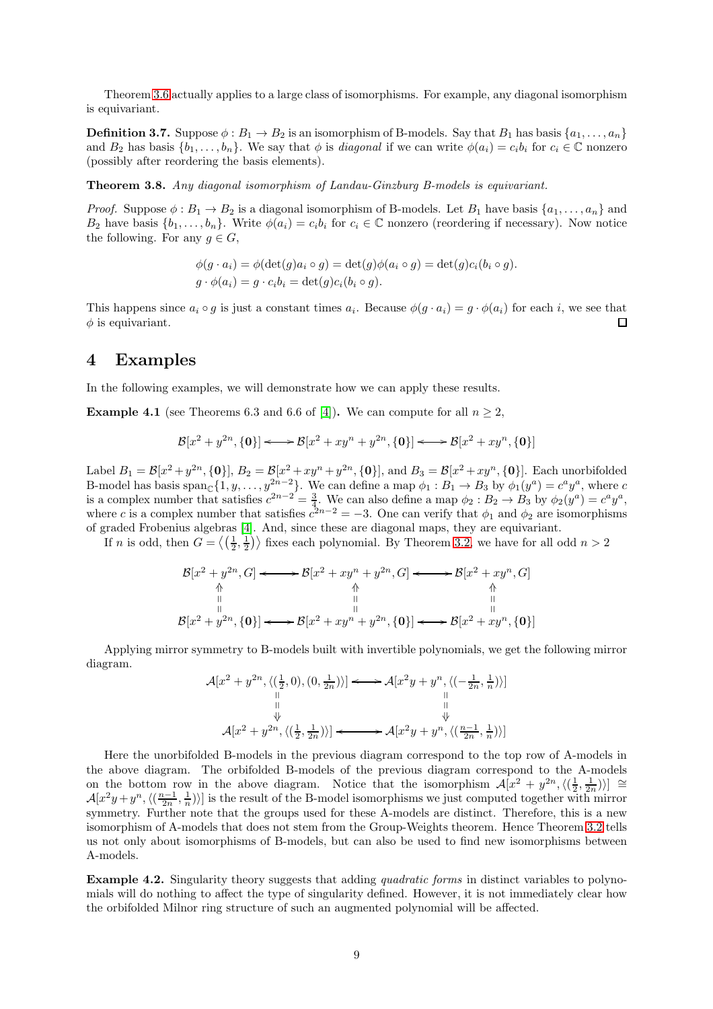Theorem [3.6](#page-7-0) actually applies to a large class of isomorphisms. For example, any diagonal isomorphism is equivariant.

**Definition 3.7.** Suppose  $\phi : B_1 \to B_2$  is an isomorphism of B-models. Say that  $B_1$  has basis  $\{a_1, \ldots, a_n\}$ and  $B_2$  has basis  $\{b_1, \ldots, b_n\}$ . We say that  $\phi$  is *diagonal* if we can write  $\phi(a_i) = c_i b_i$  for  $c_i \in \mathbb{C}$  nonzero (possibly after reordering the basis elements).

Theorem 3.8. *Any diagonal isomorphism of Landau-Ginzburg B-models is equivariant.*

*Proof.* Suppose  $\phi : B_1 \to B_2$  is a diagonal isomorphism of B-models. Let  $B_1$  have basis  $\{a_1, \ldots, a_n\}$  and  $B_2$  have basis  $\{b_1, \ldots, b_n\}$ . Write  $\phi(a_i) = c_i b_i$  for  $c_i \in \mathbb{C}$  nonzero (reordering if necessary). Now notice the following. For any  $g \in G$ ,

$$
\phi(g \cdot a_i) = \phi(\det(g)a_i \circ g) = \det(g)\phi(a_i \circ g) = \det(g)c_i(b_i \circ g).
$$
  

$$
g \cdot \phi(a_i) = g \cdot c_ib_i = \det(g)c_i(b_i \circ g).
$$

This happens since  $a_i \circ g$  is just a constant times  $a_i$ . Because  $\phi(g \cdot a_i) = g \cdot \phi(a_i)$  for each i, we see that  $\phi$  is equivariant.  $\Box$ 

## 4 Examples

In the following examples, we will demonstrate how we can apply these results.

<span id="page-8-0"></span>**Example 4.1** (see Theorems 6.3 and 6.6 of [\[4\]](#page-9-13)). We can compute for all  $n \geq 2$ ,

$$
\mathcal{B}[x^2 + y^{2n}, \{\mathbf{0}\}] \longleftrightarrow \mathcal{B}[x^2 + xy^n + y^{2n}, \{\mathbf{0}\}] \longleftrightarrow \mathcal{B}[x^2 + xy^n, \{\mathbf{0}\}]
$$

Label  $B_1 = \mathcal{B}[x^2 + y^{2n}, \{0\}], B_2 = \mathcal{B}[x^2 + xy^n + y^{2n}, \{0\}],$  and  $B_3 = \mathcal{B}[x^2 + xy^n, \{0\}].$  Each unorbifolded B-model has basis  $\text{span}_{\mathbb{C}}\{1, y, \ldots, y^{2n-2}\}.$  We can define a map  $\phi_1 : B_1 \to B_3$  by  $\phi_1(y^a) = c^a y^a$ , where  $c$ is a complex number that satisfies  $c^{2n-2} = \frac{3}{4}$ . We can also define a map  $\phi_2 : B_2 \to B_3$  by  $\phi_2(y^a) = c^a y^a$ , where c is a complex number that satisfies  $c^{2n-2} = -3$ . One can verify that  $\phi_1$  and  $\phi_2$  are isomorphisms of graded Frobenius algebras [\[4\]](#page-9-13). And, since these are diagonal maps, they are equivariant.

If n is odd, then  $G = \langle \left(\frac{1}{2}, \frac{1}{2}\right) \rangle$  fixes each polynomial. By Theorem [3.2,](#page-5-0) we have for all odd  $n > 2$ 

$$
\mathcal{B}[x^2 + y^{2n}, G] \longleftrightarrow \mathcal{B}[x^2 + xy^n + y^{2n}, G] \longleftrightarrow \mathcal{B}[x^2 + xy^n, G]
$$
\n
$$
\uparrow \qquad \qquad \uparrow \qquad \qquad \uparrow \qquad \qquad \uparrow \qquad \uparrow \qquad \uparrow \qquad \uparrow \qquad \uparrow \qquad \uparrow \qquad \uparrow \qquad \uparrow \qquad \uparrow \qquad \uparrow \qquad \uparrow \qquad \uparrow \qquad \uparrow \qquad \uparrow \qquad \uparrow \qquad \uparrow \qquad \uparrow \qquad \uparrow \qquad \uparrow \qquad \uparrow \qquad \uparrow \qquad \uparrow \qquad \uparrow \qquad \uparrow \qquad \uparrow \qquad \uparrow \qquad \uparrow \qquad \uparrow \qquad \uparrow \qquad \uparrow \qquad \uparrow \qquad \uparrow \qquad \uparrow \qquad \uparrow \qquad \uparrow \qquad \uparrow \qquad \uparrow \qquad \uparrow \qquad \uparrow \qquad \uparrow \qquad \uparrow \qquad \uparrow \qquad \uparrow \qquad \uparrow \qquad \uparrow \qquad \uparrow \qquad \uparrow \qquad \uparrow \qquad \uparrow \qquad \uparrow \qquad \uparrow \qquad \uparrow \qquad \uparrow \qquad \uparrow \qquad \uparrow \qquad \uparrow \qquad \uparrow \qquad \uparrow \qquad \uparrow \qquad \uparrow \qquad \uparrow \qquad \uparrow \qquad \uparrow \qquad \uparrow \qquad \uparrow \qquad \uparrow \qquad \uparrow \qquad \uparrow \qquad \uparrow \qquad \uparrow \qquad \uparrow \qquad \uparrow \qquad \uparrow \qquad \uparrow \qquad \uparrow \qquad \uparrow \qquad \uparrow \qquad \uparrow \qquad \uparrow \qquad \uparrow \qquad \uparrow \qquad \uparrow \qquad \uparrow \qquad \uparrow \qquad \uparrow \qquad \uparrow \qquad \uparrow \qquad \uparrow \qquad \uparrow \qquad \uparrow \qquad \uparrow \qquad \uparrow \qquad \uparrow \qquad \uparrow \qquad \uparrow \qquad \uparrow \qquad \uparrow \qquad \uparrow \qquad \uparrow \qquad \uparrow \qquad \uparrow \qquad \uparrow \qquad \uparrow \qquad \uparrow \qquad \uparrow \qquad \uparrow \qquad \uparrow \qquad \uparrow \qquad \uparrow \qquad \uparrow \qquad \uparrow \qquad \uparrow
$$

Applying mirror symmetry to B-models built with invertible polynomials, we get the following mirror diagram.

$$
\mathcal{A}[x^2 + y^{2n}, \langle (\frac{1}{2}, 0), (0, \frac{1}{2n}) \rangle] \longleftrightarrow \mathcal{A}[x^2y + y^n, \langle (-\frac{1}{2n}, \frac{1}{n}) \rangle]
$$
\n
$$
\parallel \qquad \qquad \parallel
$$
\n
$$
\Downarrow \qquad \qquad \Downarrow
$$
\n
$$
\mathcal{A}[x^2 + y^{2n}, \langle (\frac{1}{2}, \frac{1}{2n}) \rangle] \longleftrightarrow \mathcal{A}[x^2y + y^n, \langle (\frac{n-1}{2n}, \frac{1}{n}) \rangle]
$$

Here the unorbifolded B-models in the previous diagram correspond to the top row of A-models in the above diagram. The orbifolded B-models of the previous diagram correspond to the A-models on the bottom row in the above diagram. Notice that the isomorphism  $\mathcal{A}[x^2 + y^{2n}, \langle (\frac{1}{2}, \frac{1}{2n}) \rangle] \cong$  $\mathcal{A}[x^2y + y^n, \langle(\frac{n-1}{2n}, \frac{1}{n})\rangle]$  is the result of the B-model isomorphisms we just computed together with mirror symmetry. Further note that the groups used for these A-models are distinct. Therefore, this is a new isomorphism of A-models that does not stem from the Group-Weights theorem. Hence Theorem [3.2](#page-5-0) tells us not only about isomorphisms of B-models, but can also be used to find new isomorphisms between A-models.

Example 4.2. Singularity theory suggests that adding *quadratic forms* in distinct variables to polynomials will do nothing to affect the type of singularity defined. However, it is not immediately clear how the orbifolded Milnor ring structure of such an augmented polynomial will be affected.